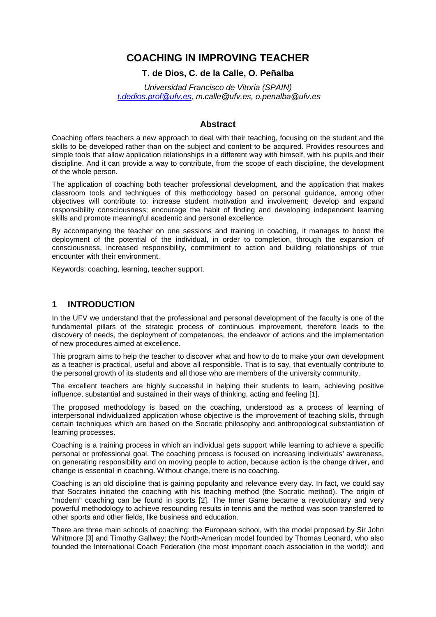# **COACHING IN IMPROVING TEACHER**

# **T. de Dios, C. de la Calle, O. Peñalba**

*Universidad Francisco de Vitoria (SPAIN) [t.dedios.prof@ufv.es,](mailto:t.dedios.prof@ufv.es) m.calle@ufv.es, o.penalba@ufv.es*

# **Abstract**

Coaching offers teachers a new approach to deal with their teaching, focusing on the student and the skills to be developed rather than on the subject and content to be acquired. Provides resources and simple tools that allow application relationships in a different way with himself, with his pupils and their discipline. And it can provide a way to contribute, from the scope of each discipline, the development of the whole person.

The application of coaching both teacher professional development, and the application that makes classroom tools and techniques of this methodology based on personal guidance, among other objectives will contribute to: increase student motivation and involvement; develop and expand responsibility consciousness; encourage the habit of finding and developing independent learning skills and promote meaningful academic and personal excellence.

By accompanying the teacher on one sessions and training in coaching, it manages to boost the deployment of the potential of the individual, in order to completion, through the expansion of consciousness, increased responsibility, commitment to action and building relationships of true encounter with their environment.

Keywords: coaching, learning, teacher support.

### **1 INTRODUCTION**

In the UFV we understand that the professional and personal development of the faculty is one of the fundamental pillars of the strategic process of continuous improvement, therefore leads to the discovery of needs, the deployment of competences, the endeavor of actions and the implementation of new procedures aimed at excellence.

This program aims to help the teacher to discover what and how to do to make your own development as a teacher is practical, useful and above all responsible. That is to say, that eventually contribute to the personal growth of its students and all those who are members of the university community.

The excellent teachers are highly successful in helping their students to learn, achieving positive influence, substantial and sustained in their ways of thinking, acting and feeling [1].

The proposed methodology is based on the coaching, understood as a process of learning of interpersonal individualized application whose objective is the improvement of teaching skills, through certain techniques which are based on the Socratic philosophy and anthropological substantiation of learning processes.

Coaching is a training process in which an individual gets support while learning to achieve a specific personal or professional goal. The coaching process is focused on increasing individuals' awareness, on generating responsibility and on moving people to action, because action is the change driver, and change is essential in coaching. Without change, there is no coaching.

Coaching is an old discipline that is gaining popularity and relevance every day. In fact, we could say that Socrates initiated the coaching with his teaching method (the Socratic method). The origin of "modern" coaching can be found in sports [2]. The Inner Game became a revolutionary and very powerful methodology to achieve resounding results in tennis and the method was soon transferred to other sports and other fields, like business and education.

There are three main schools of coaching: the European school, with the model proposed by Sir John Whitmore [3] and Timothy Gallwey; the North-American model founded by Thomas Leonard, who also founded the International Coach Federation (the most important coach association in the world): and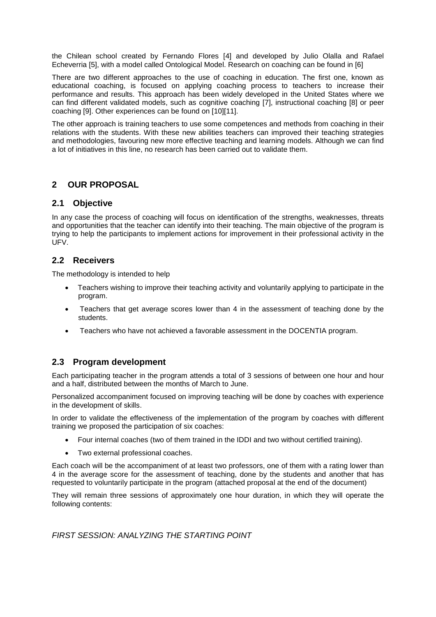the Chilean school created by Fernando Flores [4] and developed by Julio Olalla and Rafael Echeverria [5], with a model called Ontological Model. Research on coaching can be found in [6]

There are two different approaches to the use of coaching in education. The first one, known as educational coaching, is focused on applying coaching process to teachers to increase their performance and results. This approach has been widely developed in the United States where we can find different validated models, such as cognitive coaching [7], instructional coaching [8] or peer coaching [9]. Other experiences can be found on [10][11].

The other approach is training teachers to use some competences and methods from coaching in their relations with the students. With these new abilities teachers can improved their teaching strategies and methodologies, favouring new more effective teaching and learning models. Although we can find a lot of initiatives in this line, no research has been carried out to validate them.

# **2 OUR PROPOSAL**

# **2.1 Objective**

In any case the process of coaching will focus on identification of the strengths, weaknesses, threats and opportunities that the teacher can identify into their teaching. The main objective of the program is trying to help the participants to implement actions for improvement in their professional activity in the UFV.

# **2.2 Receivers**

The methodology is intended to help

- Teachers wishing to improve their teaching activity and voluntarily applying to participate in the program.
- Teachers that get average scores lower than 4 in the assessment of teaching done by the students.
- Teachers who have not achieved a favorable assessment in the DOCENTIA program.

# **2.3 Program development**

Each participating teacher in the program attends a total of 3 sessions of between one hour and hour and a half, distributed between the months of March to June.

Personalized accompaniment focused on improving teaching will be done by coaches with experience in the development of skills.

In order to validate the effectiveness of the implementation of the program by coaches with different training we proposed the participation of six coaches:

- Four internal coaches (two of them trained in the IDDI and two without certified training).
- Two external professional coaches.

Each coach will be the accompaniment of at least two professors, one of them with a rating lower than 4 in the average score for the assessment of teaching, done by the students and another that has requested to voluntarily participate in the program (attached proposal at the end of the document)

They will remain three sessions of approximately one hour duration, in which they will operate the following contents:

*FIRST SESSION: ANALYZING THE STARTING POINT*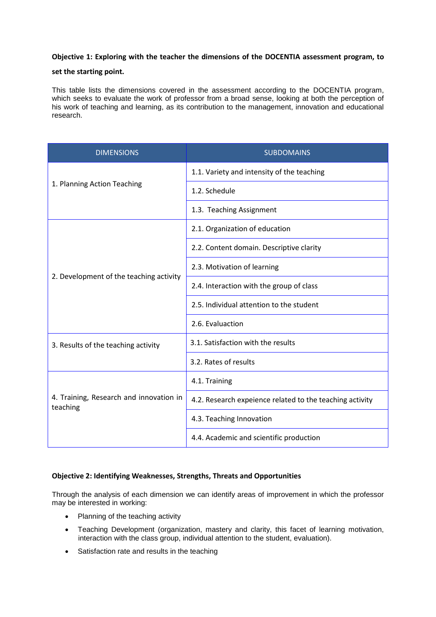### **Objective 1: Exploring with the teacher the dimensions of the DOCENTIA assessment program, to**

#### **set the starting point.**

This table lists the dimensions covered in the assessment according to the DOCENTIA program, which seeks to evaluate the work of professor from a broad sense, looking at both the perception of his work of teaching and learning, as its contribution to the management, innovation and educational research.

| <b>DIMENSIONS</b>                                   | <b>SUBDOMAINS</b>                                        |  |  |  |  |
|-----------------------------------------------------|----------------------------------------------------------|--|--|--|--|
| 1. Planning Action Teaching                         | 1.1. Variety and intensity of the teaching               |  |  |  |  |
|                                                     | 1.2. Schedule                                            |  |  |  |  |
|                                                     | 1.3. Teaching Assignment                                 |  |  |  |  |
| 2. Development of the teaching activity             | 2.1. Organization of education                           |  |  |  |  |
|                                                     | 2.2. Content domain. Descriptive clarity                 |  |  |  |  |
|                                                     | 2.3. Motivation of learning                              |  |  |  |  |
|                                                     | 2.4. Interaction with the group of class                 |  |  |  |  |
|                                                     | 2.5. Individual attention to the student                 |  |  |  |  |
|                                                     | 2.6. Evaluaction                                         |  |  |  |  |
| 3. Results of the teaching activity                 | 3.1. Satisfaction with the results                       |  |  |  |  |
|                                                     | 3.2. Rates of results                                    |  |  |  |  |
| 4. Training, Research and innovation in<br>teaching | 4.1. Training                                            |  |  |  |  |
|                                                     | 4.2. Research expeience related to the teaching activity |  |  |  |  |
|                                                     | 4.3. Teaching Innovation                                 |  |  |  |  |
|                                                     | 4.4. Academic and scientific production                  |  |  |  |  |

# **Objective 2: Identifying Weaknesses, Strengths, Threats and Opportunities**

Through the analysis of each dimension we can identify areas of improvement in which the professor may be interested in working:

- Planning of the teaching activity
- Teaching Development (organization, mastery and clarity, this facet of learning motivation, interaction with the class group, individual attention to the student, evaluation).
- Satisfaction rate and results in the teaching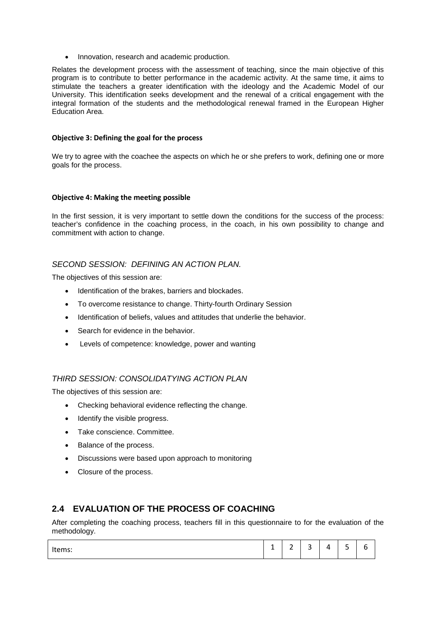• Innovation, research and academic production.

Relates the development process with the assessment of teaching, since the main objective of this program is to contribute to better performance in the academic activity. At the same time, it aims to stimulate the teachers a greater identification with the ideology and the Academic Model of our University. This identification seeks development and the renewal of a critical engagement with the integral formation of the students and the methodological renewal framed in the European Higher Education Area.

#### **Objective 3: Defining the goal for the process**

We try to agree with the coachee the aspects on which he or she prefers to work, defining one or more goals for the process.

#### **Objective 4: Making the meeting possible**

In the first session, it is very important to settle down the conditions for the success of the process: teacher's confidence in the coaching process, in the coach, in his own possibility to change and commitment with action to change.

### *SECOND SESSION: DEFINING AN ACTION PLAN.*

The objectives of this session are:

- Identification of the brakes, barriers and blockades.
- To overcome resistance to change. Thirty-fourth Ordinary Session
- Identification of beliefs, values and attitudes that underlie the behavior.
- Search for evidence in the behavior.
- Levels of competence: knowledge, power and wanting

# *THIRD SESSION: CONSOLIDATYING ACTION PLAN*

The objectives of this session are:

- Checking behavioral evidence reflecting the change.
- Identify the visible progress.
- Take conscience. Committee.
- Balance of the process.
- Discussions were based upon approach to monitoring
- Closure of the process.

# **2.4 EVALUATION OF THE PROCESS OF COACHING**

After completing the coaching process, teachers fill in this questionnaire to for the evaluation of the methodology.

| $\overline{\phantom{0}}$<br>$\overline{\phantom{0}}$<br>∽<br>-<br>Items:<br>,,<br>. .<br>-<br>ـ<br>ـ<br>-<br>- |
|----------------------------------------------------------------------------------------------------------------|
|----------------------------------------------------------------------------------------------------------------|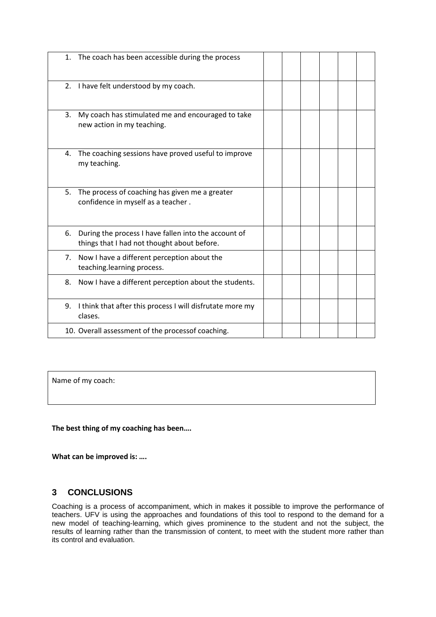|    | 1. The coach has been accessible during the process                                                 |  |  |  |
|----|-----------------------------------------------------------------------------------------------------|--|--|--|
|    | 2. I have felt understood by my coach.                                                              |  |  |  |
| 3. | My coach has stimulated me and encouraged to take<br>new action in my teaching.                     |  |  |  |
| 4. | The coaching sessions have proved useful to improve<br>my teaching.                                 |  |  |  |
| 5. | The process of coaching has given me a greater<br>confidence in myself as a teacher.                |  |  |  |
| 6. | During the process I have fallen into the account of<br>things that I had not thought about before. |  |  |  |
|    | 7. Now I have a different perception about the<br>teaching.learning process.                        |  |  |  |
| 8. | Now I have a different perception about the students.                                               |  |  |  |
| 9. | I think that after this process I will disfrutate more my<br>clases.                                |  |  |  |
|    | 10. Overall assessment of the processof coaching.                                                   |  |  |  |

Name of my coach:

**The best thing of my coaching has been….**

**What can be improved is: ….**

# **3 CONCLUSIONS**

Coaching is a process of accompaniment, which in makes it possible to improve the performance of teachers. UFV is using the approaches and foundations of this tool to respond to the demand for a new model of teaching-learning, which gives prominence to the student and not the subject, the results of learning rather than the transmission of content, to meet with the student more rather than its control and evaluation.